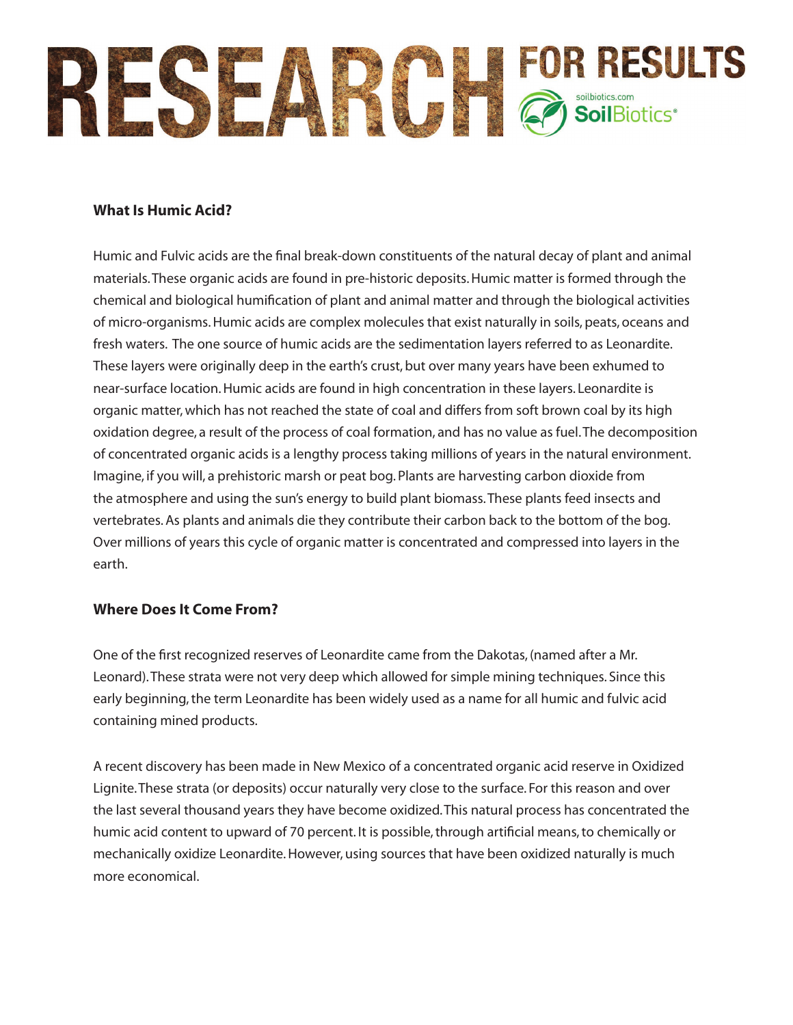

## **What Is Humic Acid?**

Humic and Fulvic acids are the final break-down constituents of the natural decay of plant and animal materials. These organic acids are found in pre-historic deposits. Humic matter is formed through the chemical and biological humification of plant and animal matter and through the biological activities of micro-organisms. Humic acids are complex molecules that exist naturally in soils, peats, oceans and fresh waters. The one source of humic acids are the sedimentation layers referred to as Leonardite. These layers were originally deep in the earth's crust, but over many years have been exhumed to near-surface location. Humic acids are found in high concentration in these layers. Leonardite is organic matter, which has not reached the state of coal and differs from soft brown coal by its high oxidation degree, a result of the process of coal formation, and has no value as fuel. The decomposition of concentrated organic acids is a lengthy process taking millions of years in the natural environment. Imagine, if you will, a prehistoric marsh or peat bog. Plants are harvesting carbon dioxide from the atmosphere and using the sun's energy to build plant biomass. These plants feed insects and vertebrates. As plants and animals die they contribute their carbon back to the bottom of the bog. Over millions of years this cycle of organic matter is concentrated and compressed into layers in the earth.

### **Where Does It Come From?**

One of the first recognized reserves of Leonardite came from the Dakotas, (named after a Mr. Leonard). These strata were not very deep which allowed for simple mining techniques. Since this early beginning, the term Leonardite has been widely used as a name for all humic and fulvic acid containing mined products.

A recent discovery has been made in New Mexico of a concentrated organic acid reserve in Oxidized Lignite. These strata (or deposits) occur naturally very close to the surface. For this reason and over the last several thousand years they have become oxidized. This natural process has concentrated the humic acid content to upward of 70 percent. It is possible, through artificial means, to chemically or mechanically oxidize Leonardite. However, using sources that have been oxidized naturally is much more economical.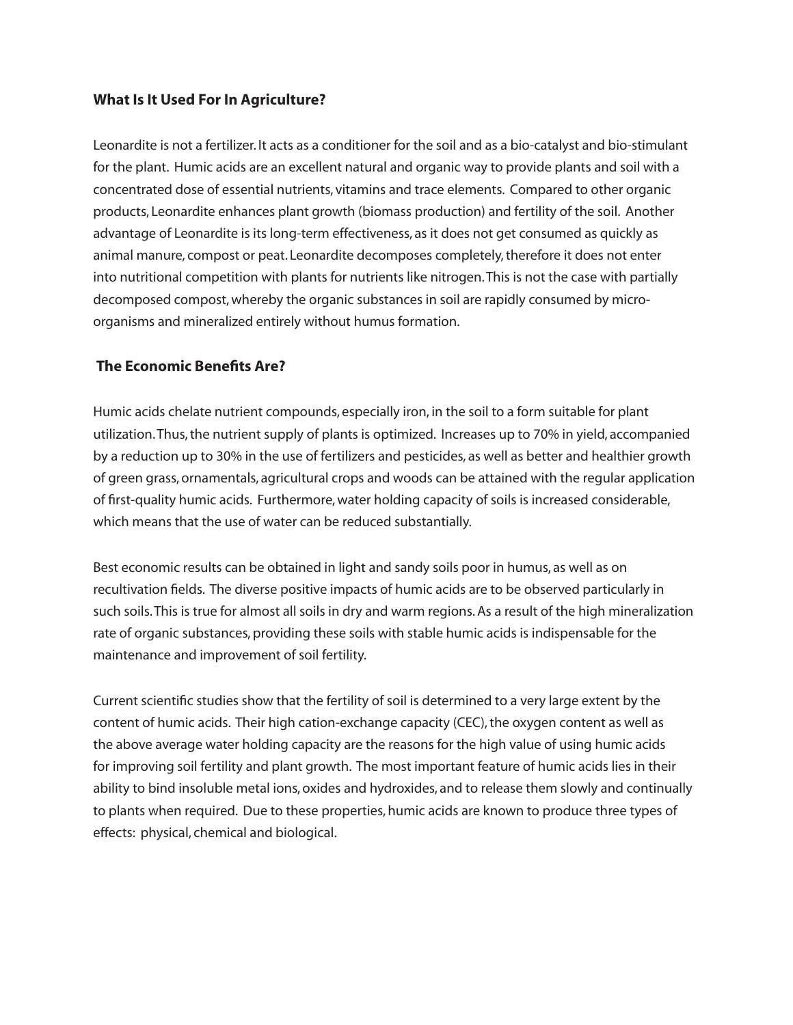## **What Is It Used For In Agriculture?**

Leonardite is not a fertilizer. It acts as a conditioner for the soil and as a bio-catalyst and bio-stimulant for the plant. Humic acids are an excellent natural and organic way to provide plants and soil with a concentrated dose of essential nutrients, vitamins and trace elements. Compared to other organic products, Leonardite enhances plant growth (biomass production) and fertility of the soil. Another advantage of Leonardite is its long-term effectiveness, as it does not get consumed as quickly as animal manure, compost or peat. Leonardite decomposes completely, therefore it does not enter into nutritional competition with plants for nutrients like nitrogen. This is not the case with partially decomposed compost, whereby the organic substances in soil are rapidly consumed by microorganisms and mineralized entirely without humus formation.

## **The Economic Benefits Are?**

Humic acids chelate nutrient compounds, especially iron, in the soil to a form suitable for plant utilization. Thus, the nutrient supply of plants is optimized. Increases up to 70% in yield, accompanied by a reduction up to 30% in the use of fertilizers and pesticides, as well as better and healthier growth of green grass, ornamentals, agricultural crops and woods can be attained with the regular application of first-quality humic acids. Furthermore, water holding capacity of soils is increased considerable, which means that the use of water can be reduced substantially.

Best economic results can be obtained in light and sandy soils poor in humus, as well as on recultivation fields. The diverse positive impacts of humic acids are to be observed particularly in such soils. This is true for almost all soils in dry and warm regions. As a result of the high mineralization rate of organic substances, providing these soils with stable humic acids is indispensable for the maintenance and improvement of soil fertility.

Current scientific studies show that the fertility of soil is determined to a very large extent by the content of humic acids. Their high cation-exchange capacity (CEC), the oxygen content as well as the above average water holding capacity are the reasons for the high value of using humic acids for improving soil fertility and plant growth. The most important feature of humic acids lies in their ability to bind insoluble metal ions, oxides and hydroxides, and to release them slowly and continually to plants when required. Due to these properties, humic acids are known to produce three types of effects: physical, chemical and biological.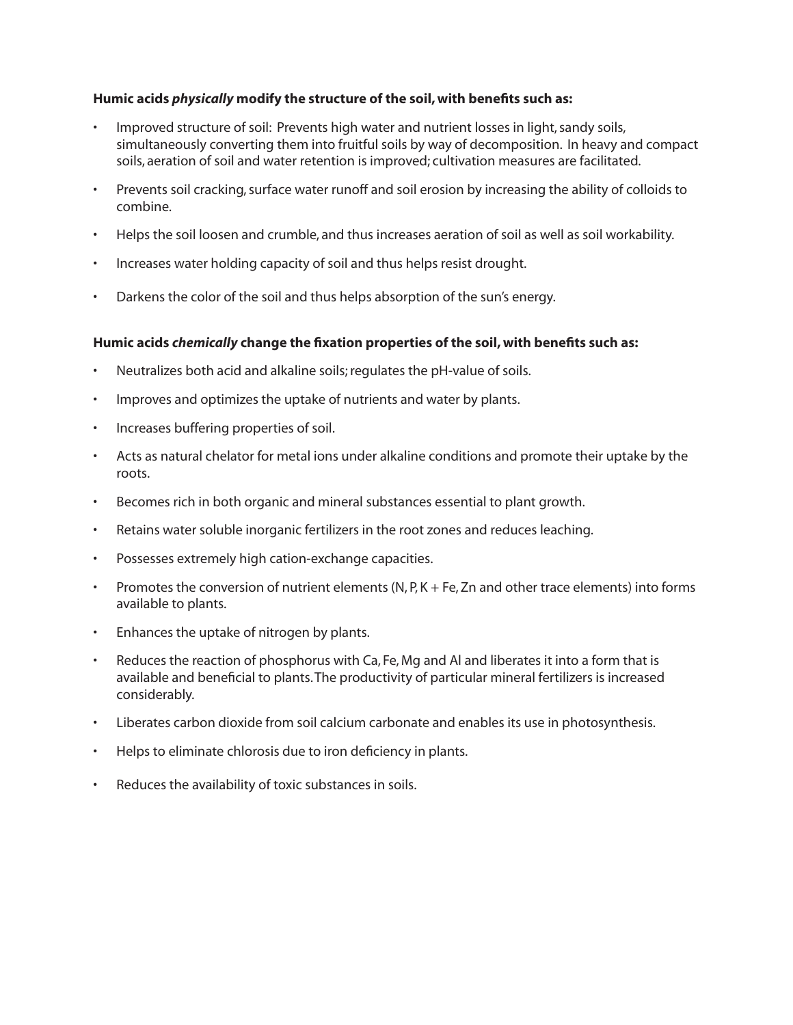### **Humic acids** *physically* **modify the structure of the soil, with benefits such as:**

- Improved structure of soil: Prevents high water and nutrient losses in light, sandy soils, simultaneously converting them into fruitful soils by way of decomposition. In heavy and compact soils, aeration of soil and water retention is improved; cultivation measures are facilitated.
- Prevents soil cracking, surface water runoff and soil erosion by increasing the ability of colloids to combine.
- Helps the soil loosen and crumble, and thus increases aeration of soil as well as soil workability.
- Increases water holding capacity of soil and thus helps resist drought.
- Darkens the color of the soil and thus helps absorption of the sun's energy.

#### **Humic acids** *chemically* **change the fixation properties of the soil, with benefits such as:**

- Neutralizes both acid and alkaline soils; regulates the pH-value of soils.
- Improves and optimizes the uptake of nutrients and water by plants.
- Increases buffering properties of soil.
- Acts as natural chelator for metal ions under alkaline conditions and promote their uptake by the roots.
- Becomes rich in both organic and mineral substances essential to plant growth.
- Retains water soluble inorganic fertilizers in the root zones and reduces leaching.
- Possesses extremely high cation-exchange capacities.
- Promotes the conversion of nutrient elements (N, P, K + Fe, Zn and other trace elements) into forms available to plants.
- Enhances the uptake of nitrogen by plants.
- Reduces the reaction of phosphorus with Ca, Fe, Mg and Al and liberates it into a form that is available and beneficial to plants. The productivity of particular mineral fertilizers is increased considerably.
- Liberates carbon dioxide from soil calcium carbonate and enables its use in photosynthesis.
- Helps to eliminate chlorosis due to iron deficiency in plants.
- Reduces the availability of toxic substances in soils.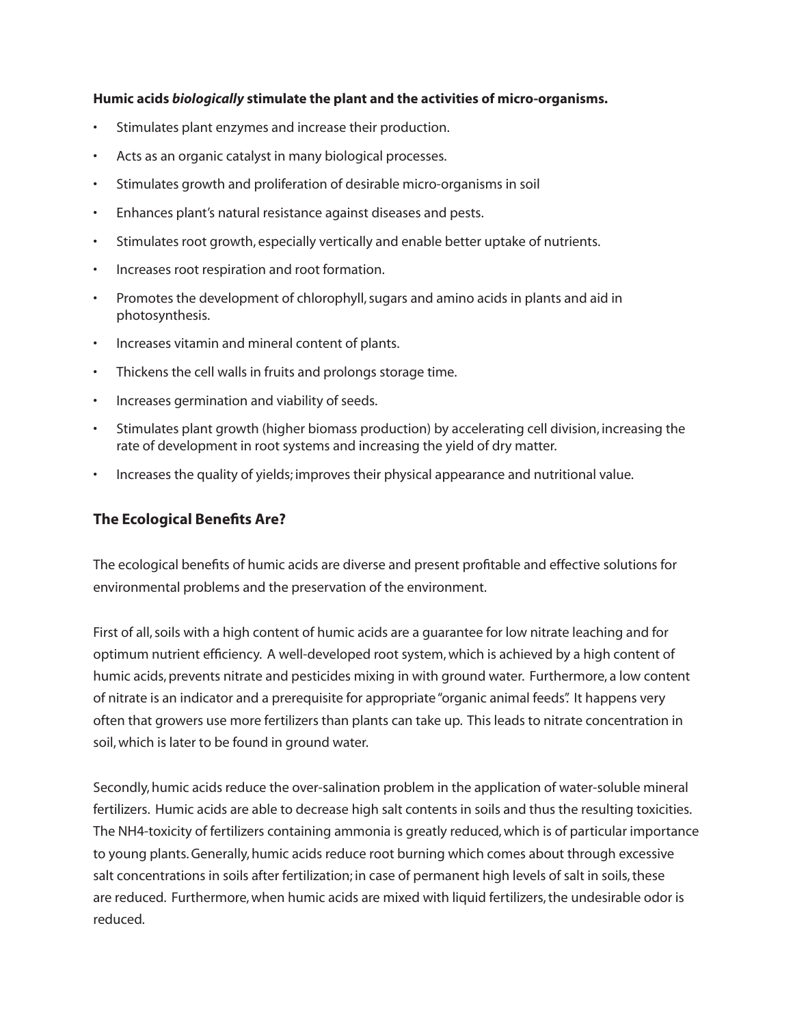#### **Humic acids** *biologically* **stimulate the plant and the activities of micro-organisms.**

- Stimulates plant enzymes and increase their production.
- Acts as an organic catalyst in many biological processes.
- Stimulates growth and proliferation of desirable micro-organisms in soil
- Enhances plant's natural resistance against diseases and pests.
- Stimulates root growth, especially vertically and enable better uptake of nutrients.
- Increases root respiration and root formation.
- Promotes the development of chlorophyll, sugars and amino acids in plants and aid in photosynthesis.
- Increases vitamin and mineral content of plants.
- Thickens the cell walls in fruits and prolongs storage time.
- Increases germination and viability of seeds.
- Stimulates plant growth (higher biomass production) by accelerating cell division, increasing the rate of development in root systems and increasing the yield of dry matter.
- Increases the quality of yields; improves their physical appearance and nutritional value.

## **The Ecological Benefits Are?**

The ecological benefits of humic acids are diverse and present profitable and effective solutions for environmental problems and the preservation of the environment.

First of all, soils with a high content of humic acids are a guarantee for low nitrate leaching and for optimum nutrient efficiency. A well-developed root system, which is achieved by a high content of humic acids, prevents nitrate and pesticides mixing in with ground water. Furthermore, a low content of nitrate is an indicator and a prerequisite for appropriate "organic animal feeds". It happens very often that growers use more fertilizers than plants can take up. This leads to nitrate concentration in soil, which is later to be found in ground water.

Secondly, humic acids reduce the over-salination problem in the application of water-soluble mineral fertilizers. Humic acids are able to decrease high salt contents in soils and thus the resulting toxicities. The NH4-toxicity of fertilizers containing ammonia is greatly reduced, which is of particular importance to young plants. Generally, humic acids reduce root burning which comes about through excessive salt concentrations in soils after fertilization; in case of permanent high levels of salt in soils, these are reduced. Furthermore, when humic acids are mixed with liquid fertilizers, the undesirable odor is reduced.